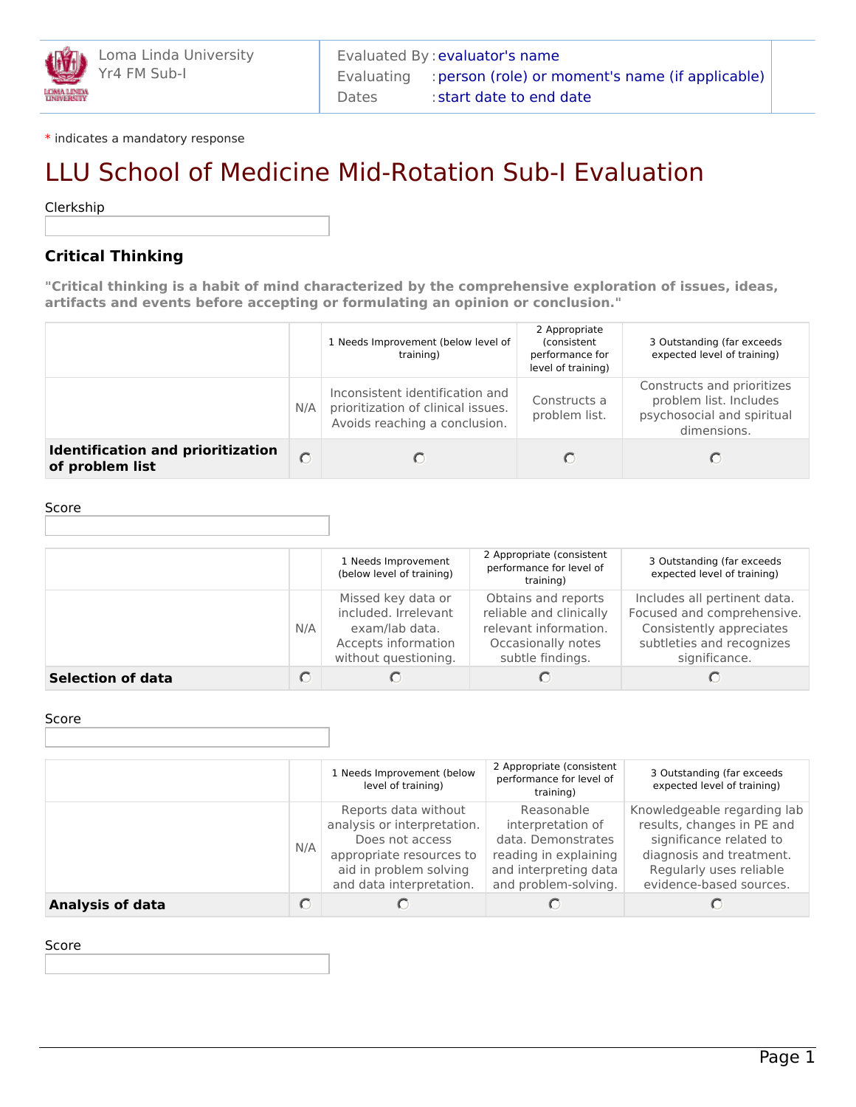\* indicates a mandatory response

# LLU School of Medicine Mid-Rotation Sub-I Evaluation

Clerkship

# **Critical Thinking**

**"Critical thinking is a habit of mind characterized by the comprehensive exploration of issues, ideas, artifacts and events before accepting or formulating an opinion or conclusion."**

|                                                             |     | 1 Needs Improvement (below level of<br>training)                                                       | 2 Appropriate<br>(consistent<br>performance for<br>level of training) | 3 Outstanding (far exceeds<br>expected level of training)                                         |
|-------------------------------------------------------------|-----|--------------------------------------------------------------------------------------------------------|-----------------------------------------------------------------------|---------------------------------------------------------------------------------------------------|
|                                                             | N/A | Inconsistent identification and<br>prioritization of clinical issues.<br>Avoids reaching a conclusion. | Constructs a<br>problem list.                                         | Constructs and prioritizes<br>problem list. Includes<br>psychosocial and spiritual<br>dimensions. |
| <b>Identification and prioritization</b><br>of problem list |     |                                                                                                        |                                                                       |                                                                                                   |

Score

|                          |     | 1 Needs Improvement<br>(below level of training)                                                            | 2 Appropriate (consistent<br>performance for level of<br>training)                                                | 3 Outstanding (far exceeds<br>expected level of training)                                                                            |
|--------------------------|-----|-------------------------------------------------------------------------------------------------------------|-------------------------------------------------------------------------------------------------------------------|--------------------------------------------------------------------------------------------------------------------------------------|
|                          | N/A | Missed key data or<br>included. Irrelevant<br>exam/lab data.<br>Accepts information<br>without questioning. | Obtains and reports<br>reliable and clinically<br>relevant information.<br>Occasionally notes<br>subtle findings. | Includes all pertinent data.<br>Focused and comprehensive.<br>Consistently appreciates<br>subtleties and recognizes<br>significance. |
| <b>Selection of data</b> |     |                                                                                                             |                                                                                                                   |                                                                                                                                      |

#### Score

|                         |     | 1 Needs Improvement (below<br>level of training)                                                                                                         | 2 Appropriate (consistent<br>performance for level of<br>training)                                                              | 3 Outstanding (far exceeds<br>expected level of training)                                                                                                              |
|-------------------------|-----|----------------------------------------------------------------------------------------------------------------------------------------------------------|---------------------------------------------------------------------------------------------------------------------------------|------------------------------------------------------------------------------------------------------------------------------------------------------------------------|
|                         | N/A | Reports data without<br>analysis or interpretation.<br>Does not access<br>appropriate resources to<br>aid in problem solving<br>and data interpretation. | Reasonable<br>interpretation of<br>data. Demonstrates<br>reading in explaining<br>and interpreting data<br>and problem-solving. | Knowledgeable regarding lab<br>results, changes in PE and<br>significance related to<br>diagnosis and treatment.<br>Regularly uses reliable<br>evidence-based sources. |
| <b>Analysis of data</b> |     |                                                                                                                                                          |                                                                                                                                 |                                                                                                                                                                        |

#### Score

Page 1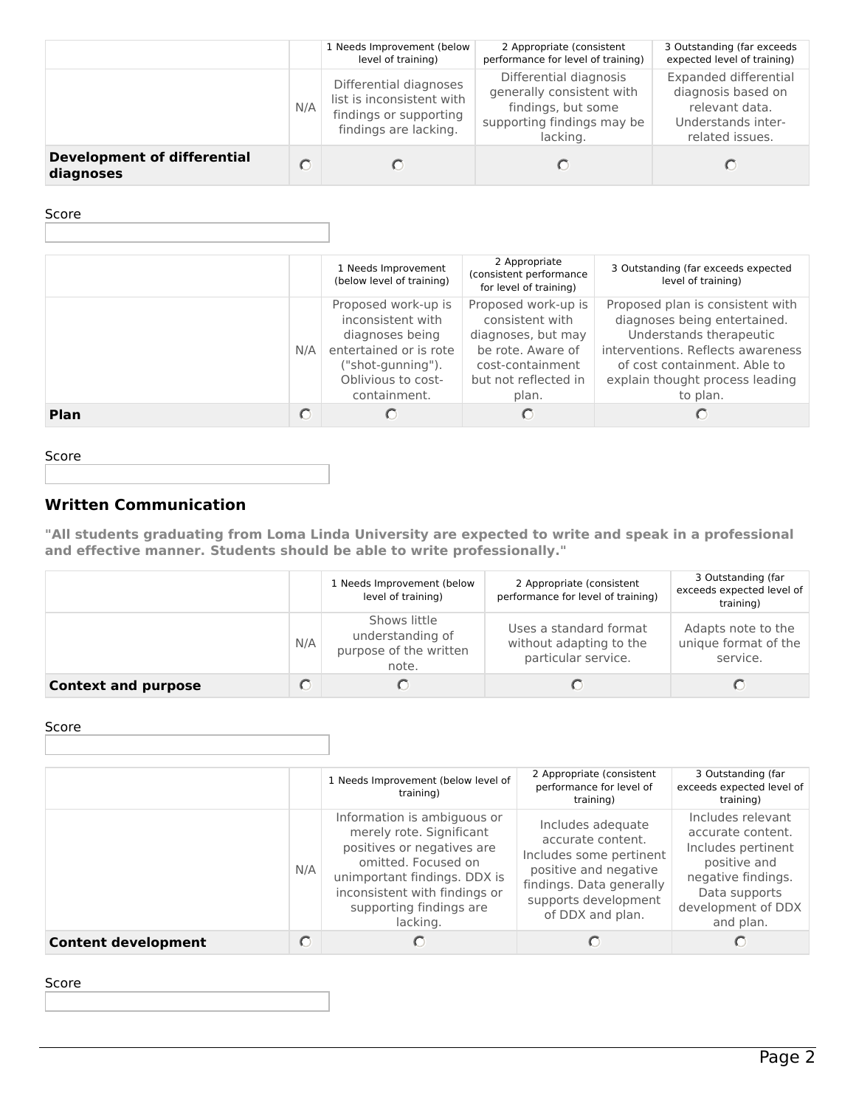|                                                 |     | 1 Needs Improvement (below<br>level of training)                                                       | 2 Appropriate (consistent<br>performance for level of training)                                                     | 3 Outstanding (far exceeds<br>expected level of training)                                              |
|-------------------------------------------------|-----|--------------------------------------------------------------------------------------------------------|---------------------------------------------------------------------------------------------------------------------|--------------------------------------------------------------------------------------------------------|
|                                                 | N/A | Differential diagnoses<br>list is inconsistent with<br>findings or supporting<br>findings are lacking. | Differential diagnosis<br>generally consistent with<br>findings, but some<br>supporting findings may be<br>lacking. | Expanded differential<br>diagnosis based on<br>relevant data.<br>Understands inter-<br>related issues. |
| <b>Development of differential</b><br>diagnoses |     |                                                                                                        |                                                                                                                     |                                                                                                        |

## Score

|             |     | 1 Needs Improvement<br>(below level of training)                                                                                                 | 2 Appropriate<br>(consistent performance<br>for level of training)                                                                     | 3 Outstanding (far exceeds expected<br>level of training)                                                                                                                                                       |
|-------------|-----|--------------------------------------------------------------------------------------------------------------------------------------------------|----------------------------------------------------------------------------------------------------------------------------------------|-----------------------------------------------------------------------------------------------------------------------------------------------------------------------------------------------------------------|
|             | N/A | Proposed work-up is<br>inconsistent with<br>diagnoses being<br>entertained or is rote<br>("shot-gunning").<br>Oblivious to cost-<br>containment. | Proposed work-up is<br>consistent with<br>diagnoses, but may<br>be rote. Aware of<br>cost-containment<br>but not reflected in<br>plan. | Proposed plan is consistent with<br>diagnoses being entertained.<br>Understands therapeutic<br>interventions. Reflects awareness<br>of cost containment. Able to<br>explain thought process leading<br>to plan. |
| <b>Plan</b> |     |                                                                                                                                                  |                                                                                                                                        |                                                                                                                                                                                                                 |

#### Score

# **Written Communication**

**"All students graduating from Loma Linda University are expected to write and speak in a professional and effective manner. Students should be able to write professionally."**

|                            |     | 1 Needs Improvement (below<br>level of training)                    | 2 Appropriate (consistent<br>performance for level of training)          | 3 Outstanding (far<br>exceeds expected level of<br>training) |
|----------------------------|-----|---------------------------------------------------------------------|--------------------------------------------------------------------------|--------------------------------------------------------------|
|                            | N/A | Shows little<br>understanding of<br>purpose of the written<br>note. | Uses a standard format<br>without adapting to the<br>particular service. | Adapts note to the<br>unique format of the<br>service.       |
| <b>Context and purpose</b> |     |                                                                     |                                                                          |                                                              |

## Score

|                            |     | 1 Needs Improvement (below level of<br>training)                                                                                                                                                                     | 2 Appropriate (consistent<br>performance for level of<br>training)                                                                                                 | 3 Outstanding (far<br>exceeds expected level of<br>training)                                                                                           |
|----------------------------|-----|----------------------------------------------------------------------------------------------------------------------------------------------------------------------------------------------------------------------|--------------------------------------------------------------------------------------------------------------------------------------------------------------------|--------------------------------------------------------------------------------------------------------------------------------------------------------|
|                            | N/A | Information is ambiguous or<br>merely rote. Significant<br>positives or negatives are<br>omitted. Focused on<br>unimportant findings. DDX is<br>inconsistent with findings or<br>supporting findings are<br>lacking. | Includes adequate<br>accurate content.<br>Includes some pertinent<br>positive and negative<br>findings. Data generally<br>supports development<br>of DDX and plan. | Includes relevant<br>accurate content.<br>Includes pertinent<br>positive and<br>negative findings.<br>Data supports<br>development of DDX<br>and plan. |
| <b>Content development</b> |     |                                                                                                                                                                                                                      |                                                                                                                                                                    |                                                                                                                                                        |

## Score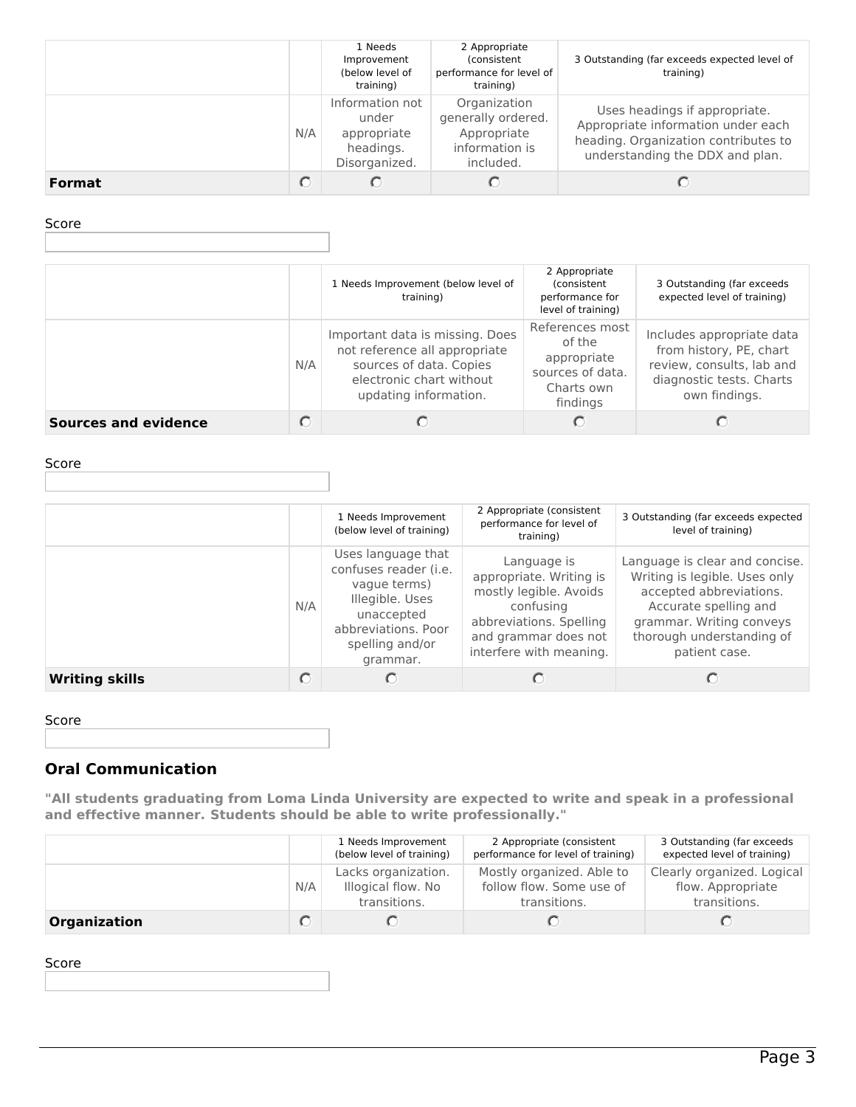|               |     | 1 Needs<br>Improvement<br>(below level of<br>training)                | 2 Appropriate<br>(consistent<br>performance for level of<br>training)            | 3 Outstanding (far exceeds expected level of<br>training)                                                                                      |
|---------------|-----|-----------------------------------------------------------------------|----------------------------------------------------------------------------------|------------------------------------------------------------------------------------------------------------------------------------------------|
|               | N/A | Information not<br>under<br>appropriate<br>headings.<br>Disorganized. | Organization<br>generally ordered.<br>Appropriate<br>information is<br>included. | Uses headings if appropriate.<br>Appropriate information under each<br>heading. Organization contributes to<br>understanding the DDX and plan. |
| <b>Format</b> |     |                                                                       |                                                                                  |                                                                                                                                                |

Score

|                             |     | 1 Needs Improvement (below level of<br>training)                                                                                                 | 2 Appropriate<br>(consistent<br>performance for<br>level of training)                  | 3 Outstanding (far exceeds<br>expected level of training)                                                                      |
|-----------------------------|-----|--------------------------------------------------------------------------------------------------------------------------------------------------|----------------------------------------------------------------------------------------|--------------------------------------------------------------------------------------------------------------------------------|
|                             | N/A | Important data is missing. Does<br>not reference all appropriate<br>sources of data. Copies<br>electronic chart without<br>updating information. | References most<br>of the<br>appropriate<br>sources of data.<br>Charts own<br>findings | Includes appropriate data<br>from history, PE, chart<br>review, consults, lab and<br>diagnostic tests. Charts<br>own findings. |
| <b>Sources and evidence</b> |     |                                                                                                                                                  |                                                                                        |                                                                                                                                |

Score

|                       |     | 1 Needs Improvement<br>(below level of training)                                                                                                   | 2 Appropriate (consistent<br>performance for level of<br>training)                                                                                          | 3 Outstanding (far exceeds expected<br>level of training)                                                                                                                                     |
|-----------------------|-----|----------------------------------------------------------------------------------------------------------------------------------------------------|-------------------------------------------------------------------------------------------------------------------------------------------------------------|-----------------------------------------------------------------------------------------------------------------------------------------------------------------------------------------------|
|                       | N/A | Uses language that<br>confuses reader (i.e.<br>vague terms)<br>Illegible. Uses<br>unaccepted<br>abbreviations. Poor<br>spelling and/or<br>grammar. | Language is<br>appropriate. Writing is<br>mostly legible. Avoids<br>confusing<br>abbreviations. Spelling<br>and grammar does not<br>interfere with meaning. | Language is clear and concise.<br>Writing is legible. Uses only<br>accepted abbreviations.<br>Accurate spelling and<br>grammar. Writing conveys<br>thorough understanding of<br>patient case. |
| <b>Writing skills</b> |     |                                                                                                                                                    |                                                                                                                                                             |                                                                                                                                                                                               |

Score

# **Oral Communication**

**"All students graduating from Loma Linda University are expected to write and speak in a professional and effective manner. Students should be able to write professionally."**

|              |     | 1 Needs Improvement<br>(below level of training)          | 2 Appropriate (consistent<br>performance for level of training)       | 3 Outstanding (far exceeds<br>expected level of training)       |
|--------------|-----|-----------------------------------------------------------|-----------------------------------------------------------------------|-----------------------------------------------------------------|
|              | N/A | Lacks organization.<br>Illogical flow. No<br>transitions. | Mostly organized. Able to<br>follow flow. Some use of<br>transitions. | Clearly organized. Logical<br>flow. Appropriate<br>transitions. |
| Organization |     |                                                           |                                                                       |                                                                 |

Score

Page 3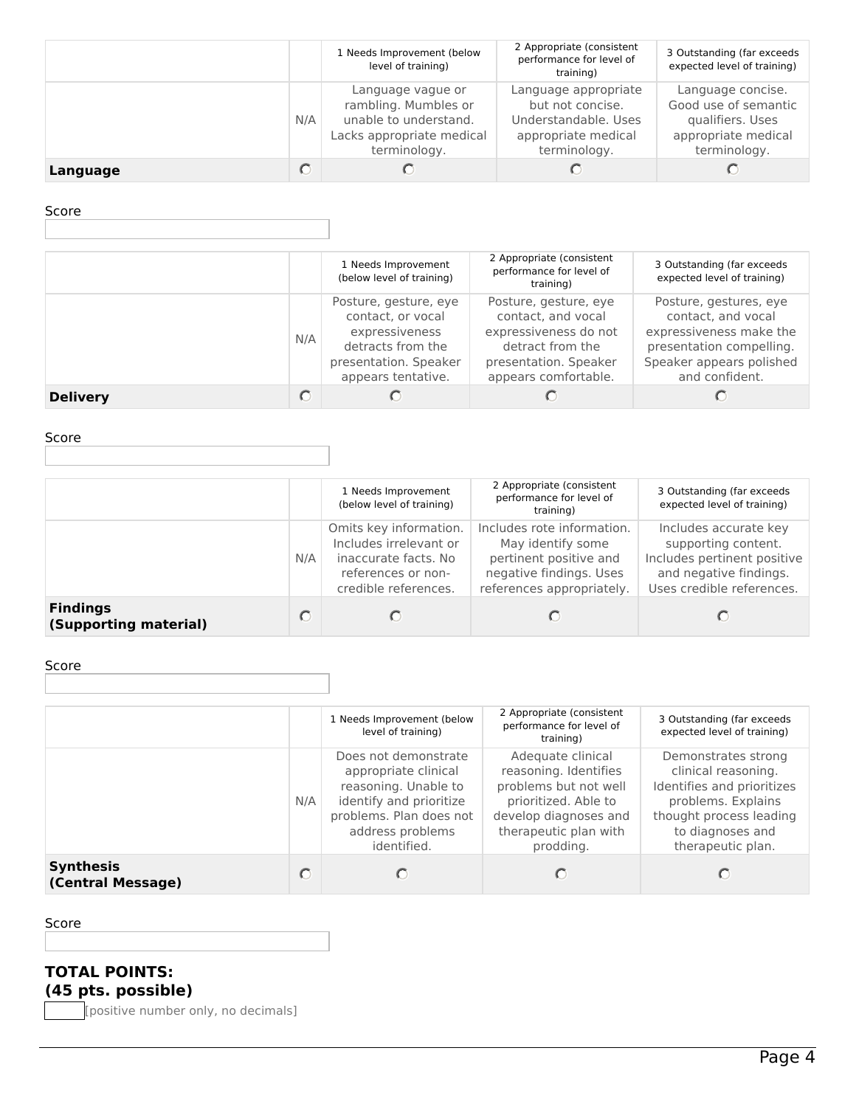|          |     | 1 Needs Improvement (below<br>level of training)                                                                | 2 Appropriate (consistent<br>performance for level of<br>training)                                      | 3 Outstanding (far exceeds<br>expected level of training)                                            |
|----------|-----|-----------------------------------------------------------------------------------------------------------------|---------------------------------------------------------------------------------------------------------|------------------------------------------------------------------------------------------------------|
|          | N/A | Language vague or<br>rambling. Mumbles or<br>unable to understand.<br>Lacks appropriate medical<br>terminology. | Language appropriate<br>but not concise.<br>Understandable, Uses<br>appropriate medical<br>terminology. | Language concise.<br>Good use of semantic<br>qualifiers. Uses<br>appropriate medical<br>terminology. |
| Language |     |                                                                                                                 |                                                                                                         |                                                                                                      |

## Score

|                 |     | 1 Needs Improvement<br>(below level of training)                                                                                 | 2 Appropriate (consistent<br>performance for level of<br>training)                                                                        | 3 Outstanding (far exceeds<br>expected level of training)                                                                                         |
|-----------------|-----|----------------------------------------------------------------------------------------------------------------------------------|-------------------------------------------------------------------------------------------------------------------------------------------|---------------------------------------------------------------------------------------------------------------------------------------------------|
|                 | N/A | Posture, gesture, eye<br>contact, or vocal<br>expressiveness<br>detracts from the<br>presentation. Speaker<br>appears tentative. | Posture, gesture, eye<br>contact, and vocal<br>expressiveness do not<br>detract from the<br>presentation. Speaker<br>appears comfortable. | Posture, gestures, eye<br>contact, and vocal<br>expressiveness make the<br>presentation compelling.<br>Speaker appears polished<br>and confident. |
| <b>Delivery</b> |     |                                                                                                                                  |                                                                                                                                           |                                                                                                                                                   |

# Score

|                                          |     | 1 Needs Improvement<br>(below level of training)                                                                       | 2 Appropriate (consistent<br>performance for level of<br>training)                                                                | 3 Outstanding (far exceeds<br>expected level of training)                                                                          |
|------------------------------------------|-----|------------------------------------------------------------------------------------------------------------------------|-----------------------------------------------------------------------------------------------------------------------------------|------------------------------------------------------------------------------------------------------------------------------------|
|                                          | N/A | Omits key information.<br>Includes irrelevant or<br>inaccurate facts. No<br>references or non-<br>credible references. | Includes rote information.<br>May identify some<br>pertinent positive and<br>negative findings. Uses<br>references appropriately. | Includes accurate key<br>supporting content.<br>Includes pertinent positive<br>and negative findings.<br>Uses credible references. |
| <b>Findings</b><br>(Supporting material) | C   |                                                                                                                        |                                                                                                                                   |                                                                                                                                    |

#### Score

|                                       |     | 1 Needs Improvement (below<br>level of training)                                                                                                              | 2 Appropriate (consistent<br>performance for level of<br>training)                                                                                         | 3 Outstanding (far exceeds<br>expected level of training)                                                                                                          |
|---------------------------------------|-----|---------------------------------------------------------------------------------------------------------------------------------------------------------------|------------------------------------------------------------------------------------------------------------------------------------------------------------|--------------------------------------------------------------------------------------------------------------------------------------------------------------------|
|                                       | N/A | Does not demonstrate<br>appropriate clinical<br>reasoning. Unable to<br>identify and prioritize<br>problems. Plan does not<br>address problems<br>identified. | Adequate clinical<br>reasoning. Identifies<br>problems but not well<br>prioritized. Able to<br>develop diagnoses and<br>therapeutic plan with<br>prodding. | Demonstrates strong<br>clinical reasoning.<br>Identifies and prioritizes<br>problems. Explains<br>thought process leading<br>to diagnoses and<br>therapeutic plan. |
| <b>Synthesis</b><br>(Central Message) |     |                                                                                                                                                               |                                                                                                                                                            |                                                                                                                                                                    |

## Score

# **TOTAL POINTS: (45 pts. possible)**

[positive number only, no decimals]